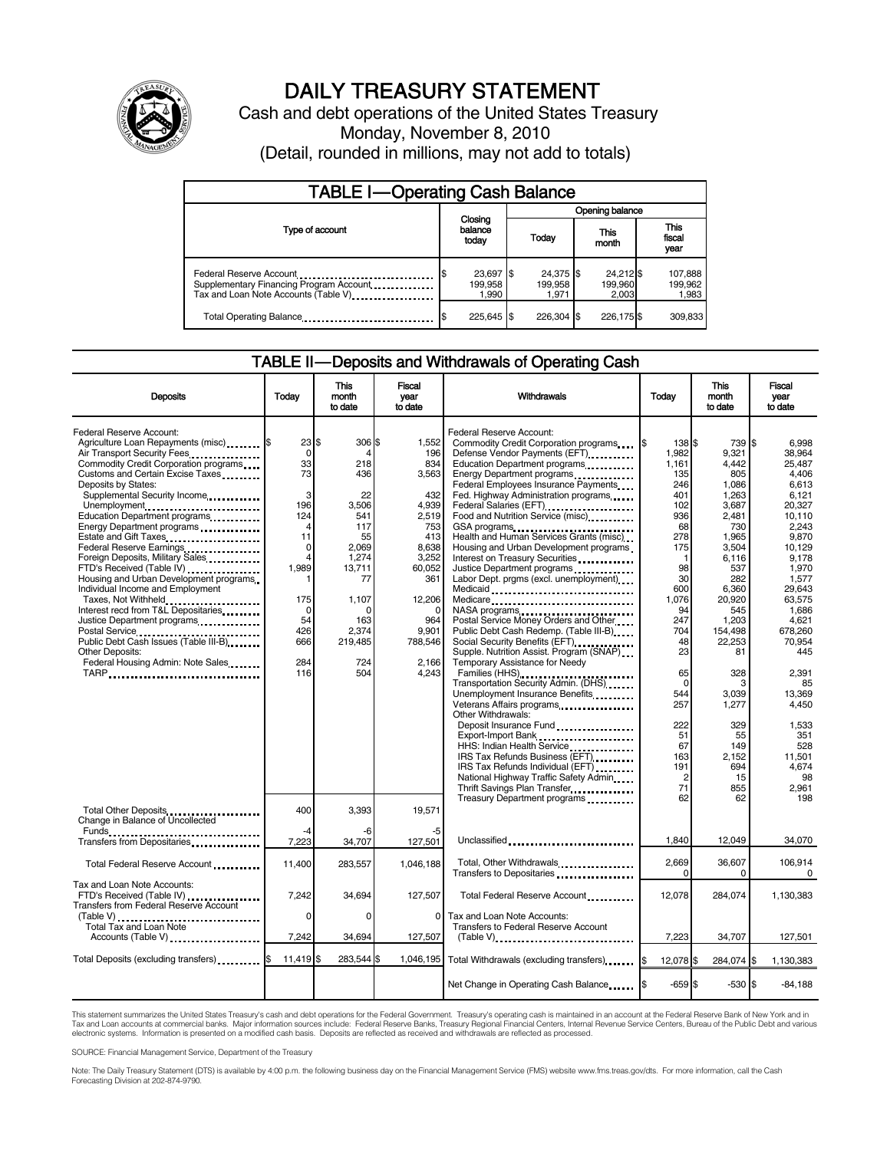

## DAILY TREASURY STATEMENT

Cash and debt operations of the United States Treasury Monday, November 8, 2010 (Detail, rounded in millions, may not add to totals)

| <b>TABLE I-Operating Cash Balance</b>                                                                      |                                     |                               |                               |                             |  |  |
|------------------------------------------------------------------------------------------------------------|-------------------------------------|-------------------------------|-------------------------------|-----------------------------|--|--|
|                                                                                                            |                                     | Opening balance               |                               |                             |  |  |
| Type of account                                                                                            | Closing<br>balance<br>today         | Today                         | This<br>month                 | This<br>fiscal<br>year      |  |  |
| Federal Reserve Account<br>Supplementary Financing Program Account<br>Tax and Loan Note Accounts (Table V) | \$<br>23,697 \$<br>199,958<br>1,990 | 24,375 \$<br>199.958<br>1.971 | 24,212 \$<br>199,960<br>2.003 | 107,888<br>199,962<br>1,983 |  |  |
| Total Operating Balance                                                                                    | 225,645                             | 226.304 \$                    | 226,175 \$                    | 309,833                     |  |  |

#### TABLE II — Deposits and Withdrawals of Operating Cash

| <b>Deposits</b>                                                                                                                                                       | Todav                                    | <b>This</b><br>month<br>to date | <b>Fiscal</b><br>year<br>to date | <b>Withdrawals</b>                                                                                                                                                                                             | Todav                           | <b>This</b><br>month<br>to date         | Fiscal<br>vear<br>to date                   |
|-----------------------------------------------------------------------------------------------------------------------------------------------------------------------|------------------------------------------|---------------------------------|----------------------------------|----------------------------------------------------------------------------------------------------------------------------------------------------------------------------------------------------------------|---------------------------------|-----------------------------------------|---------------------------------------------|
| Federal Reserve Account:<br>Agriculture Loan Repayments (misc) \$<br>Air Transport Security Fees.<br>Commodity Credit Corporation programs                            | $23$ $\frac{1}{3}$<br>$\mathbf 0$<br>33  | 306 \$<br>218                   | 1,552<br>196<br>834              | Federal Reserve Account:<br>Commodity Credit Corporation programs<br>Defense Vendor Payments (EFT)<br>Education Department programs                                                                            | 138 \$<br>1,982<br>1,161        | 739 \$<br>9.321<br>4.442                | 6.998<br>38.964<br>25.487                   |
| Customs and Certain Excise Taxes<br>Deposits by States:<br>Supplemental Security Income<br>Unemployment<br>Education Department programs                              | 73<br>3<br>196<br>124                    | 436<br>22<br>3,506<br>541       | 3,563<br>432<br>4,939<br>2.519   | Energy Department programs<br>Federal Employees Insurance Payments<br>Fed. Highway Administration programs<br>Federal Salaries (EFT)<br>Federal Salaries (EFT)<br>1<br>Food and Nutrition Service (misc) [100] | 135<br>246<br>401<br>102<br>936 | 805<br>1.086<br>1,263<br>3.687<br>2.481 | 4.406<br>6.613<br>6.121<br>20.327<br>10.110 |
| Energy Department programs<br>Estate and Gift Taxes<br>Federal Reserve Earnings<br>Foreign Deposits, Military Sales                                                   | 4<br>11<br>$\mathbf 0$<br>$\overline{4}$ | 117<br>55<br>2,069<br>1,274     | 753<br>413<br>8,638<br>3,252     | GSA programs<br>Health and Human Services Grants (misc)<br>Housing and Urban Development programs<br>Interest on Treasury Securities                                                                           | 68<br>278<br>175<br>-1          | 730<br>1,965<br>3.504<br>6,116          | 2,243<br>9,870<br>10.129<br>9,178           |
| FTD's Received (Table IV)<br>Housing and Urban Development programs<br>Individual Income and Employment<br>Taxes, Not Withheld<br>Interest recd from T&L Depositaries | 1,989<br>175<br>$\Omega$                 | 13,711<br>77<br>1,107           | 60,052<br>361<br>12,206          | Justice Department programs<br>Labor Dept. prgms (excl. unemployment)<br>Medicaid<br>Medicare                                                                                                                  | 98<br>30<br>600<br>1,076<br>94  | 537<br>282<br>6,360<br>20,920<br>545    | 1,970<br>1,577<br>29.643<br>63,575<br>1.686 |
| Justice Department programs<br>Postal Service<br>Public Debt Cash Issues (Table III-B)<br><b>Other Deposits:</b>                                                      | 54<br>426<br>666                         | 163<br>2,374<br>219,485         | 964<br>9,901<br>788,546          | NASA programs<br>Postal Service Money Orders and Other<br>Public Debt Cash Redemp. (Table III-B)<br>Social Security Benefits (EFT)<br>Supple. Nutrition Assist. Program (SNAP)                                 | 247<br>704<br>48<br>23          | 1,203<br>154,498<br>22,253<br>81        | 4.621<br>678,260<br>70.954<br>445           |
| Federal Housing Admin: Note Sales<br>TARP                                                                                                                             | 284<br>116                               | 724<br>504                      | 2,166<br>4,243                   | Temporary Assistance for Needy<br>Families (HHS)<br>Transportation Security Admin. (DHS)<br>Unemployment Insurance Benefits<br>Veterans Affairs programs<br>                                                   | 65<br>$\Omega$<br>544<br>257    | 328<br>З<br>3,039<br>1,277              | 2,391<br>85<br>13,369<br>4,450              |
|                                                                                                                                                                       |                                          |                                 |                                  | Other Withdrawals:<br>Export-Import Bank<br>HHS: Indian Health Service<br>IRS Tax Refunds Business (EFT)<br>IRS Tax Refunds Individual (EFT)                                                                   | 222<br>51<br>67<br>163<br>191   | 329<br>55<br>149<br>2.152<br>694        | 1,533<br>351<br>528<br>11.501<br>4,674      |
| Total Other Deposits                                                                                                                                                  | 400                                      | 3,393                           | 19,571                           | National Highway Traffic Safety Admin<br>Thrift Savings Plan Transfer<br>Treasury Department programs                                                                                                          | $\overline{2}$<br>71<br>62      | 15<br>855<br>62                         | 98<br>2.961<br>198                          |
| Change in Balance of Uncollected<br>Transfers from Depositaries                                                                                                       | -4<br>7,223                              | -6<br>34,707                    | 127,501                          | Unclassified                                                                                                                                                                                                   | 1,840                           | 12,049                                  | 34,070                                      |
| Total Federal Reserve Account                                                                                                                                         | 11,400                                   | 283,557                         | 1.046.188                        | Total, Other Withdrawals                                                                                                                                                                                       | 2,669<br><sup>0</sup>           | 36,607<br>0                             | 106,914<br>0                                |
| Tax and Loan Note Accounts:<br>FTD's Received (Table IV)<br>Transfers from Federal Reserve Account                                                                    | 7,242<br>$\Omega$                        | 34.694<br>$\Omega$              | 127,507<br>0                     | Total Federal Reserve Account<br>Tax and Loan Note Accounts:                                                                                                                                                   | 12,078                          | 284,074                                 | 1,130,383                                   |
| Total Tax and Loan Note<br>Accounts (Table V)                                                                                                                         | 7.242                                    | 34.694                          | 127,507                          | Transfers to Federal Reserve Account<br>$(Table V)$                                                                                                                                                            | 7.223                           | 34,707                                  | 127,501                                     |
| Total Deposits (excluding transfers)                                                                                                                                  | 11,419                                   | 283,544 \$<br>l\$               | 1,046,195                        | Total Withdrawals (excluding transfers) [\$                                                                                                                                                                    | 12,078 \$                       | 284,074 \$                              | 1,130,383                                   |
|                                                                                                                                                                       |                                          |                                 |                                  | Net Change in Operating Cash Balance                                                                                                                                                                           | $-659S$                         | $-530S$                                 | $-84,188$                                   |

This statement summarizes the United States Treasury's cash and debt operations for the Federal Government. Treasury's operating cash is maintained in an account at the Federal Reserve Bank of New York and in<br>Tax and Loan electronic systems. Information is presented on a modified cash basis. Deposits are reflected as received and withdrawals are reflected as processed.

SOURCE: Financial Management Service, Department of the Treasury

Note: The Daily Treasury Statement (DTS) is available by 4:00 p.m. the following business day on the Financial Management Service (FMS) website www.fms.treas.gov/dts. For more information, call the Cash Forecasting Division at 202-874-9790.